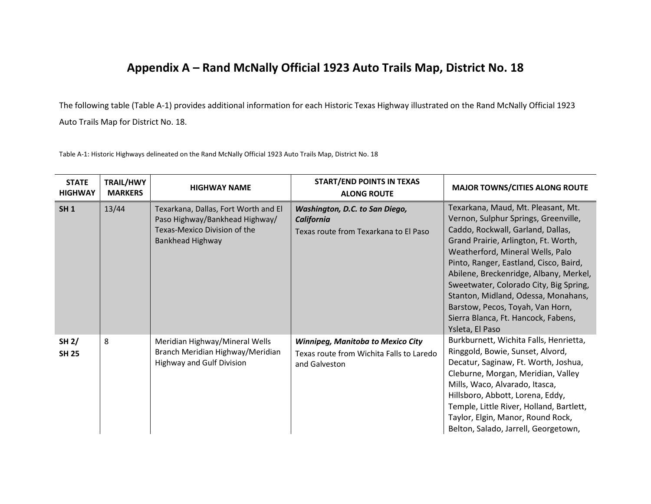## **Appendix A – Rand McNally Official 1923 Auto Trails Map, District No. 18**

The following table (Table A-1) provides additional information for each Historic Texas Highway illustrated on the Rand McNally Official 1923 Auto Trails Map for District No. 18.

Table A-1: Historic Highways delineated on the Rand McNally Official 1923 Auto Trails Map, District No. 18

| <b>STATE</b><br><b>HIGHWAY</b> | <b>TRAIL/HWY</b><br><b>MARKERS</b> | <b>HIGHWAY NAME</b>                                                                                                        | <b>START/END POINTS IN TEXAS</b><br><b>ALONG ROUTE</b>                                                | <b>MAJOR TOWNS/CITIES ALONG ROUTE</b>                                                                                                                                                                                                                                                                                                                                                                                                                          |
|--------------------------------|------------------------------------|----------------------------------------------------------------------------------------------------------------------------|-------------------------------------------------------------------------------------------------------|----------------------------------------------------------------------------------------------------------------------------------------------------------------------------------------------------------------------------------------------------------------------------------------------------------------------------------------------------------------------------------------------------------------------------------------------------------------|
| <b>SH1</b>                     | 13/44                              | Texarkana, Dallas, Fort Worth and El<br>Paso Highway/Bankhead Highway/<br>Texas-Mexico Division of the<br>Bankhead Highway | Washington, D.C. to San Diego,<br><b>California</b><br>Texas route from Texarkana to El Paso          | Texarkana, Maud, Mt. Pleasant, Mt.<br>Vernon, Sulphur Springs, Greenville,<br>Caddo, Rockwall, Garland, Dallas,<br>Grand Prairie, Arlington, Ft. Worth,<br>Weatherford, Mineral Wells, Palo<br>Pinto, Ranger, Eastland, Cisco, Baird,<br>Abilene, Breckenridge, Albany, Merkel,<br>Sweetwater, Colorado City, Big Spring,<br>Stanton, Midland, Odessa, Monahans,<br>Barstow, Pecos, Toyah, Van Horn,<br>Sierra Blanca, Ft. Hancock, Fabens,<br>Ysleta, El Paso |
| SH 2/<br><b>SH 25</b>          | 8                                  | Meridian Highway/Mineral Wells<br>Branch Meridian Highway/Meridian<br><b>Highway and Gulf Division</b>                     | <b>Winnipeg, Manitoba to Mexico City</b><br>Texas route from Wichita Falls to Laredo<br>and Galveston | Burkburnett, Wichita Falls, Henrietta,<br>Ringgold, Bowie, Sunset, Alvord,<br>Decatur, Saginaw, Ft. Worth, Joshua,<br>Cleburne, Morgan, Meridian, Valley<br>Mills, Waco, Alvarado, Itasca,<br>Hillsboro, Abbott, Lorena, Eddy,<br>Temple, Little River, Holland, Bartlett,<br>Taylor, Elgin, Manor, Round Rock,<br>Belton, Salado, Jarrell, Georgetown,                                                                                                        |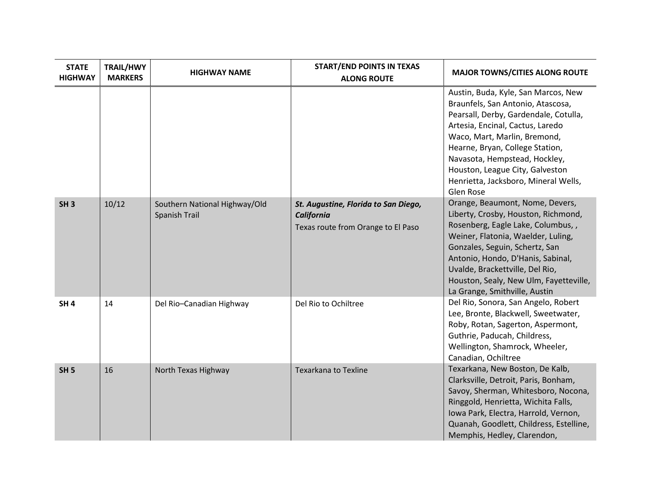| <b>STATE</b><br><b>HIGHWAY</b> | <b>TRAIL/HWY</b><br><b>MARKERS</b> | <b>HIGHWAY NAME</b>                            | <b>START/END POINTS IN TEXAS</b><br><b>ALONG ROUTE</b>                                   | <b>MAJOR TOWNS/CITIES ALONG ROUTE</b>                                                                                                                                                                                                                                                                                                             |
|--------------------------------|------------------------------------|------------------------------------------------|------------------------------------------------------------------------------------------|---------------------------------------------------------------------------------------------------------------------------------------------------------------------------------------------------------------------------------------------------------------------------------------------------------------------------------------------------|
|                                |                                    |                                                |                                                                                          | Austin, Buda, Kyle, San Marcos, New<br>Braunfels, San Antonio, Atascosa,<br>Pearsall, Derby, Gardendale, Cotulla,<br>Artesia, Encinal, Cactus, Laredo<br>Waco, Mart, Marlin, Bremond,<br>Hearne, Bryan, College Station,<br>Navasota, Hempstead, Hockley,<br>Houston, League City, Galveston<br>Henrietta, Jacksboro, Mineral Wells,<br>Glen Rose |
| SH <sub>3</sub>                | 10/12                              | Southern National Highway/Old<br>Spanish Trail | St. Augustine, Florida to San Diego,<br>California<br>Texas route from Orange to El Paso | Orange, Beaumont, Nome, Devers,<br>Liberty, Crosby, Houston, Richmond,<br>Rosenberg, Eagle Lake, Columbus,,<br>Weiner, Flatonia, Waelder, Luling,<br>Gonzales, Seguin, Schertz, San<br>Antonio, Hondo, D'Hanis, Sabinal,<br>Uvalde, Brackettville, Del Rio,<br>Houston, Sealy, New Ulm, Fayetteville,<br>La Grange, Smithville, Austin            |
| SH <sub>4</sub>                | 14                                 | Del Rio-Canadian Highway                       | Del Rio to Ochiltree                                                                     | Del Rio, Sonora, San Angelo, Robert<br>Lee, Bronte, Blackwell, Sweetwater,<br>Roby, Rotan, Sagerton, Aspermont,<br>Guthrie, Paducah, Childress,<br>Wellington, Shamrock, Wheeler,<br>Canadian, Ochiltree                                                                                                                                          |
| SH <sub>5</sub>                | 16                                 | North Texas Highway                            | <b>Texarkana to Texline</b>                                                              | Texarkana, New Boston, De Kalb,<br>Clarksville, Detroit, Paris, Bonham,<br>Savoy, Sherman, Whitesboro, Nocona,<br>Ringgold, Henrietta, Wichita Falls,<br>Iowa Park, Electra, Harrold, Vernon,<br>Quanah, Goodlett, Childress, Estelline,<br>Memphis, Hedley, Clarendon,                                                                           |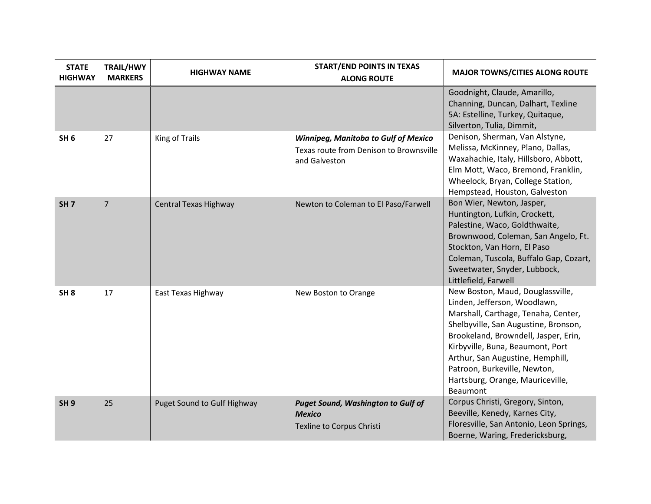| <b>STATE</b><br><b>HIGHWAY</b> | <b>TRAIL/HWY</b><br><b>MARKERS</b> | <b>HIGHWAY NAME</b>         | <b>START/END POINTS IN TEXAS</b><br><b>ALONG ROUTE</b>                                                  | <b>MAJOR TOWNS/CITIES ALONG ROUTE</b>                                                                                                                                                                                                                                                                                                                  |
|--------------------------------|------------------------------------|-----------------------------|---------------------------------------------------------------------------------------------------------|--------------------------------------------------------------------------------------------------------------------------------------------------------------------------------------------------------------------------------------------------------------------------------------------------------------------------------------------------------|
|                                |                                    |                             |                                                                                                         | Goodnight, Claude, Amarillo,<br>Channing, Duncan, Dalhart, Texline<br>5A: Estelline, Turkey, Quitaque,<br>Silverton, Tulia, Dimmit,                                                                                                                                                                                                                    |
| SH <sub>6</sub>                | 27                                 | King of Trails              | <b>Winnipeg, Manitoba to Gulf of Mexico</b><br>Texas route from Denison to Brownsville<br>and Galveston | Denison, Sherman, Van Alstyne,<br>Melissa, McKinney, Plano, Dallas,<br>Waxahachie, Italy, Hillsboro, Abbott,<br>Elm Mott, Waco, Bremond, Franklin,<br>Wheelock, Bryan, College Station,<br>Hempstead, Houston, Galveston                                                                                                                               |
| SH <sub>7</sub>                | $\overline{7}$                     | Central Texas Highway       | Newton to Coleman to El Paso/Farwell                                                                    | Bon Wier, Newton, Jasper,<br>Huntington, Lufkin, Crockett,<br>Palestine, Waco, Goldthwaite,<br>Brownwood, Coleman, San Angelo, Ft.<br>Stockton, Van Horn, El Paso<br>Coleman, Tuscola, Buffalo Gap, Cozart,<br>Sweetwater, Snyder, Lubbock,<br>Littlefield, Farwell                                                                                    |
| SH <sub>8</sub>                | 17                                 | East Texas Highway          | New Boston to Orange                                                                                    | New Boston, Maud, Douglassville,<br>Linden, Jefferson, Woodlawn,<br>Marshall, Carthage, Tenaha, Center,<br>Shelbyville, San Augustine, Bronson,<br>Brookeland, Browndell, Jasper, Erin,<br>Kirbyville, Buna, Beaumont, Port<br>Arthur, San Augustine, Hemphill,<br>Patroon, Burkeville, Newton,<br>Hartsburg, Orange, Mauriceville,<br><b>Beaumont</b> |
| SH <sub>9</sub>                | 25                                 | Puget Sound to Gulf Highway | <b>Puget Sound, Washington to Gulf of</b><br><b>Mexico</b><br>Texline to Corpus Christi                 | Corpus Christi, Gregory, Sinton,<br>Beeville, Kenedy, Karnes City,<br>Floresville, San Antonio, Leon Springs,<br>Boerne, Waring, Fredericksburg,                                                                                                                                                                                                       |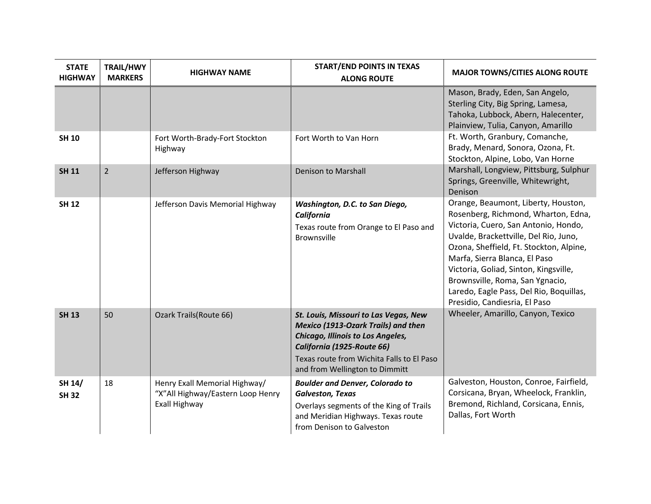| <b>STATE</b><br><b>HIGHWAY</b> | <b>TRAIL/HWY</b><br><b>MARKERS</b> | <b>HIGHWAY NAME</b>                                                                 | <b>START/END POINTS IN TEXAS</b><br><b>ALONG ROUTE</b>                                                                                                                                                                                       | <b>MAJOR TOWNS/CITIES ALONG ROUTE</b>                                                                                                                                                                                                                                                                                                                                                           |
|--------------------------------|------------------------------------|-------------------------------------------------------------------------------------|----------------------------------------------------------------------------------------------------------------------------------------------------------------------------------------------------------------------------------------------|-------------------------------------------------------------------------------------------------------------------------------------------------------------------------------------------------------------------------------------------------------------------------------------------------------------------------------------------------------------------------------------------------|
|                                |                                    |                                                                                     |                                                                                                                                                                                                                                              | Mason, Brady, Eden, San Angelo,<br>Sterling City, Big Spring, Lamesa,<br>Tahoka, Lubbock, Abern, Halecenter,<br>Plainview, Tulia, Canyon, Amarillo                                                                                                                                                                                                                                              |
| <b>SH 10</b>                   |                                    | Fort Worth-Brady-Fort Stockton<br>Highway                                           | Fort Worth to Van Horn                                                                                                                                                                                                                       | Ft. Worth, Granbury, Comanche,<br>Brady, Menard, Sonora, Ozona, Ft.<br>Stockton, Alpine, Lobo, Van Horne                                                                                                                                                                                                                                                                                        |
| <b>SH 11</b>                   | $\overline{2}$                     | Jefferson Highway                                                                   | Denison to Marshall                                                                                                                                                                                                                          | Marshall, Longview, Pittsburg, Sulphur<br>Springs, Greenville, Whitewright,<br>Denison                                                                                                                                                                                                                                                                                                          |
| <b>SH 12</b>                   |                                    | Jefferson Davis Memorial Highway                                                    | Washington, D.C. to San Diego,<br>California<br>Texas route from Orange to El Paso and<br><b>Brownsville</b>                                                                                                                                 | Orange, Beaumont, Liberty, Houston,<br>Rosenberg, Richmond, Wharton, Edna,<br>Victoria, Cuero, San Antonio, Hondo,<br>Uvalde, Brackettville, Del Rio, Juno,<br>Ozona, Sheffield, Ft. Stockton, Alpine,<br>Marfa, Sierra Blanca, El Paso<br>Victoria, Goliad, Sinton, Kingsville,<br>Brownsville, Roma, San Ygnacio,<br>Laredo, Eagle Pass, Del Rio, Boquillas,<br>Presidio, Candiesria, El Paso |
| <b>SH 13</b>                   | 50                                 | Ozark Trails(Route 66)                                                              | St. Louis, Missouri to Las Vegas, New<br><b>Mexico (1913-Ozark Trails) and then</b><br><b>Chicago, Illinois to Los Angeles,</b><br>California (1925-Route 66)<br>Texas route from Wichita Falls to El Paso<br>and from Wellington to Dimmitt | Wheeler, Amarillo, Canyon, Texico                                                                                                                                                                                                                                                                                                                                                               |
| SH 14/<br><b>SH 32</b>         | 18                                 | Henry Exall Memorial Highway/<br>"X"All Highway/Eastern Loop Henry<br>Exall Highway | <b>Boulder and Denver, Colorado to</b><br><b>Galveston, Texas</b><br>Overlays segments of the King of Trails<br>and Meridian Highways. Texas route<br>from Denison to Galveston                                                              | Galveston, Houston, Conroe, Fairfield,<br>Corsicana, Bryan, Wheelock, Franklin,<br>Bremond, Richland, Corsicana, Ennis,<br>Dallas, Fort Worth                                                                                                                                                                                                                                                   |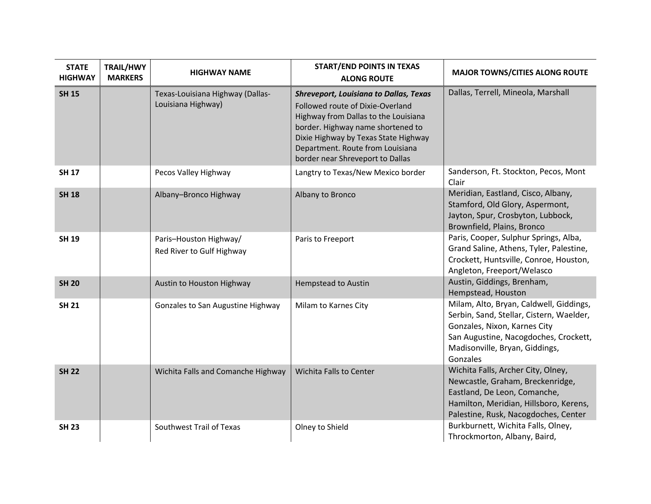| <b>STATE</b><br><b>HIGHWAY</b> | <b>TRAIL/HWY</b><br><b>MARKERS</b> | <b>HIGHWAY NAME</b>                                    | <b>START/END POINTS IN TEXAS</b><br><b>ALONG ROUTE</b>                                                                                                                                                                                                                         | <b>MAJOR TOWNS/CITIES ALONG ROUTE</b>                                                                                                                                                                      |
|--------------------------------|------------------------------------|--------------------------------------------------------|--------------------------------------------------------------------------------------------------------------------------------------------------------------------------------------------------------------------------------------------------------------------------------|------------------------------------------------------------------------------------------------------------------------------------------------------------------------------------------------------------|
| <b>SH 15</b>                   |                                    | Texas-Louisiana Highway (Dallas-<br>Louisiana Highway) | <b>Shreveport, Louisiana to Dallas, Texas</b><br>Followed route of Dixie-Overland<br>Highway from Dallas to the Louisiana<br>border. Highway name shortened to<br>Dixie Highway by Texas State Highway<br>Department. Route from Louisiana<br>border near Shreveport to Dallas | Dallas, Terrell, Mineola, Marshall                                                                                                                                                                         |
| <b>SH 17</b>                   |                                    | Pecos Valley Highway                                   | Langtry to Texas/New Mexico border                                                                                                                                                                                                                                             | Sanderson, Ft. Stockton, Pecos, Mont<br>Clair                                                                                                                                                              |
| <b>SH 18</b>                   |                                    | Albany-Bronco Highway                                  | Albany to Bronco                                                                                                                                                                                                                                                               | Meridian, Eastland, Cisco, Albany,<br>Stamford, Old Glory, Aspermont,<br>Jayton, Spur, Crosbyton, Lubbock,<br>Brownfield, Plains, Bronco                                                                   |
| <b>SH 19</b>                   |                                    | Paris-Houston Highway/<br>Red River to Gulf Highway    | Paris to Freeport                                                                                                                                                                                                                                                              | Paris, Cooper, Sulphur Springs, Alba,<br>Grand Saline, Athens, Tyler, Palestine,<br>Crockett, Huntsville, Conroe, Houston,<br>Angleton, Freeport/Welasco                                                   |
| <b>SH 20</b>                   |                                    | Austin to Houston Highway                              | <b>Hempstead to Austin</b>                                                                                                                                                                                                                                                     | Austin, Giddings, Brenham,<br>Hempstead, Houston                                                                                                                                                           |
| <b>SH 21</b>                   |                                    | Gonzales to San Augustine Highway                      | Milam to Karnes City                                                                                                                                                                                                                                                           | Milam, Alto, Bryan, Caldwell, Giddings,<br>Serbin, Sand, Stellar, Cistern, Waelder,<br>Gonzales, Nixon, Karnes City<br>San Augustine, Nacogdoches, Crockett,<br>Madisonville, Bryan, Giddings,<br>Gonzales |
| <b>SH 22</b>                   |                                    | Wichita Falls and Comanche Highway                     | Wichita Falls to Center                                                                                                                                                                                                                                                        | Wichita Falls, Archer City, Olney,<br>Newcastle, Graham, Breckenridge,<br>Eastland, De Leon, Comanche,<br>Hamilton, Meridian, Hillsboro, Kerens,<br>Palestine, Rusk, Nacogdoches, Center                   |
| <b>SH 23</b>                   |                                    | Southwest Trail of Texas                               | Olney to Shield                                                                                                                                                                                                                                                                | Burkburnett, Wichita Falls, Olney,<br>Throckmorton, Albany, Baird,                                                                                                                                         |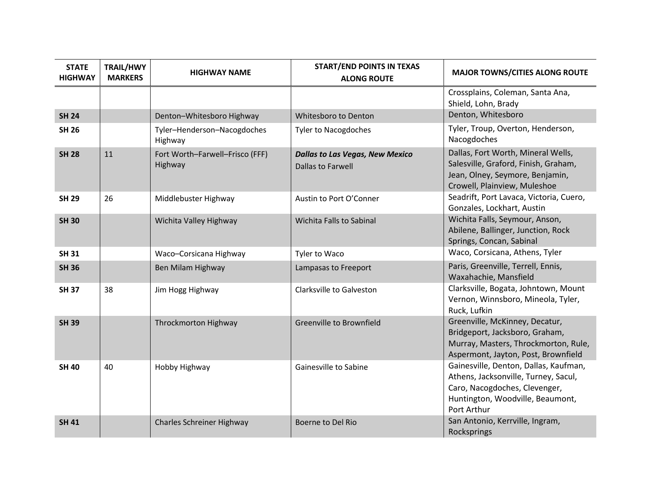| <b>STATE</b><br><b>HIGHWAY</b> | <b>TRAIL/HWY</b><br><b>MARKERS</b> | <b>HIGHWAY NAME</b>                        | <b>START/END POINTS IN TEXAS</b><br><b>ALONG ROUTE</b>             | <b>MAJOR TOWNS/CITIES ALONG ROUTE</b>                                                                                                                             |
|--------------------------------|------------------------------------|--------------------------------------------|--------------------------------------------------------------------|-------------------------------------------------------------------------------------------------------------------------------------------------------------------|
|                                |                                    |                                            |                                                                    | Crossplains, Coleman, Santa Ana,<br>Shield, Lohn, Brady                                                                                                           |
| <b>SH 24</b>                   |                                    | Denton-Whitesboro Highway                  | Whitesboro to Denton                                               | Denton, Whitesboro                                                                                                                                                |
| <b>SH 26</b>                   |                                    | Tyler-Henderson-Nacogdoches<br>Highway     | <b>Tyler to Nacogdoches</b>                                        | Tyler, Troup, Overton, Henderson,<br>Nacogdoches                                                                                                                  |
| <b>SH 28</b>                   | 11                                 | Fort Worth-Farwell-Frisco (FFF)<br>Highway | <b>Dallas to Las Vegas, New Mexico</b><br><b>Dallas to Farwell</b> | Dallas, Fort Worth, Mineral Wells,<br>Salesville, Graford, Finish, Graham,<br>Jean, Olney, Seymore, Benjamin,<br>Crowell, Plainview, Muleshoe                     |
| <b>SH 29</b>                   | 26                                 | Middlebuster Highway                       | Austin to Port O'Conner                                            | Seadrift, Port Lavaca, Victoria, Cuero,<br>Gonzales, Lockhart, Austin                                                                                             |
| <b>SH 30</b>                   |                                    | Wichita Valley Highway                     | Wichita Falls to Sabinal                                           | Wichita Falls, Seymour, Anson,<br>Abilene, Ballinger, Junction, Rock<br>Springs, Concan, Sabinal                                                                  |
| <b>SH 31</b>                   |                                    | Waco-Corsicana Highway                     | Tyler to Waco                                                      | Waco, Corsicana, Athens, Tyler                                                                                                                                    |
| <b>SH 36</b>                   |                                    | Ben Milam Highway                          | Lampasas to Freeport                                               | Paris, Greenville, Terrell, Ennis,<br>Waxahachie, Mansfield                                                                                                       |
| <b>SH 37</b>                   | 38                                 | Jim Hogg Highway                           | Clarksville to Galveston                                           | Clarksville, Bogata, Johntown, Mount<br>Vernon, Winnsboro, Mineola, Tyler,<br>Ruck, Lufkin                                                                        |
| <b>SH 39</b>                   |                                    | Throckmorton Highway                       | <b>Greenville to Brownfield</b>                                    | Greenville, McKinney, Decatur,<br>Bridgeport, Jacksboro, Graham,<br>Murray, Masters, Throckmorton, Rule,<br>Aspermont, Jayton, Post, Brownfield                   |
| <b>SH 40</b>                   | 40                                 | Hobby Highway                              | Gainesville to Sabine                                              | Gainesville, Denton, Dallas, Kaufman,<br>Athens, Jacksonville, Turney, Sacul,<br>Caro, Nacogdoches, Clevenger,<br>Huntington, Woodville, Beaumont,<br>Port Arthur |
| <b>SH 41</b>                   |                                    | Charles Schreiner Highway                  | Boerne to Del Rio                                                  | San Antonio, Kerrville, Ingram,<br>Rocksprings                                                                                                                    |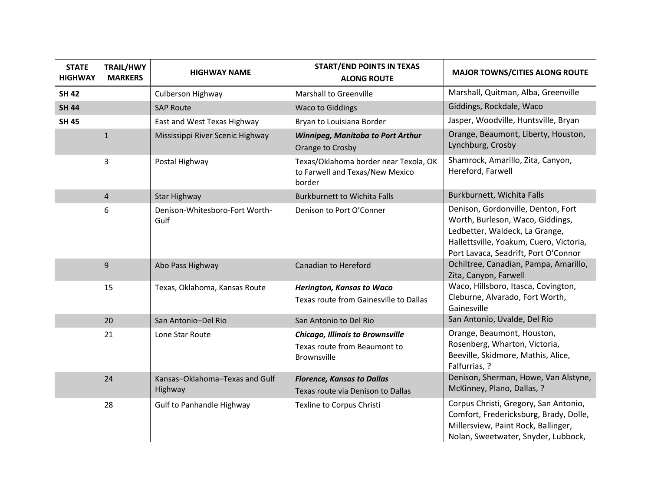| <b>STATE</b><br><b>HIGHWAY</b> | <b>TRAIL/HWY</b><br><b>MARKERS</b> | <b>HIGHWAY NAME</b>                       | <b>START/END POINTS IN TEXAS</b><br><b>ALONG ROUTE</b>                                        | <b>MAJOR TOWNS/CITIES ALONG ROUTE</b>                                                                                                                                                       |
|--------------------------------|------------------------------------|-------------------------------------------|-----------------------------------------------------------------------------------------------|---------------------------------------------------------------------------------------------------------------------------------------------------------------------------------------------|
| <b>SH 42</b>                   |                                    | Culberson Highway                         | <b>Marshall to Greenville</b>                                                                 | Marshall, Quitman, Alba, Greenville                                                                                                                                                         |
| <b>SH 44</b>                   |                                    | <b>SAP Route</b>                          | <b>Waco to Giddings</b>                                                                       | Giddings, Rockdale, Waco                                                                                                                                                                    |
| <b>SH 45</b>                   |                                    | East and West Texas Highway               | Bryan to Louisiana Border                                                                     | Jasper, Woodville, Huntsville, Bryan                                                                                                                                                        |
|                                | $\mathbf{1}$                       | Mississippi River Scenic Highway          | <b>Winnipeg, Manitoba to Port Arthur</b><br>Orange to Crosby                                  | Orange, Beaumont, Liberty, Houston,<br>Lynchburg, Crosby                                                                                                                                    |
|                                | 3                                  | Postal Highway                            | Texas/Oklahoma border near Texola, OK<br>to Farwell and Texas/New Mexico<br>border            | Shamrock, Amarillo, Zita, Canyon,<br>Hereford, Farwell                                                                                                                                      |
|                                | $\sqrt{4}$                         | <b>Star Highway</b>                       | <b>Burkburnett to Wichita Falls</b>                                                           | Burkburnett, Wichita Falls                                                                                                                                                                  |
|                                | 6                                  | Denison-Whitesboro-Fort Worth-<br>Gulf    | Denison to Port O'Conner                                                                      | Denison, Gordonville, Denton, Fort<br>Worth, Burleson, Waco, Giddings,<br>Ledbetter, Waldeck, La Grange,<br>Hallettsville, Yoakum, Cuero, Victoria,<br>Port Lavaca, Seadrift, Port O'Connor |
|                                | 9                                  | Abo Pass Highway                          | Canadian to Hereford                                                                          | Ochiltree, Canadian, Pampa, Amarillo,<br>Zita, Canyon, Farwell                                                                                                                              |
|                                | 15                                 | Texas, Oklahoma, Kansas Route             | <b>Herington, Kansas to Waco</b><br>Texas route from Gainesville to Dallas                    | Waco, Hillsboro, Itasca, Covington,<br>Cleburne, Alvarado, Fort Worth,<br>Gainesville                                                                                                       |
|                                | 20                                 | San Antonio-Del Rio                       | San Antonio to Del Rio                                                                        | San Antonio, Uvalde, Del Rio                                                                                                                                                                |
|                                | 21                                 | Lone Star Route                           | <b>Chicago, Illinois to Brownsville</b><br>Texas route from Beaumont to<br><b>Brownsville</b> | Orange, Beaumont, Houston,<br>Rosenberg, Wharton, Victoria,<br>Beeville, Skidmore, Mathis, Alice,<br>Falfurrias, ?                                                                          |
|                                | 24                                 | Kansas-Oklahoma-Texas and Gulf<br>Highway | <b>Florence, Kansas to Dallas</b><br>Texas route via Denison to Dallas                        | Denison, Sherman, Howe, Van Alstyne,<br>McKinney, Plano, Dallas, ?                                                                                                                          |
|                                | 28                                 | <b>Gulf to Panhandle Highway</b>          | Texline to Corpus Christi                                                                     | Corpus Christi, Gregory, San Antonio,<br>Comfort, Fredericksburg, Brady, Dolle,<br>Millersview, Paint Rock, Ballinger,<br>Nolan, Sweetwater, Snyder, Lubbock,                               |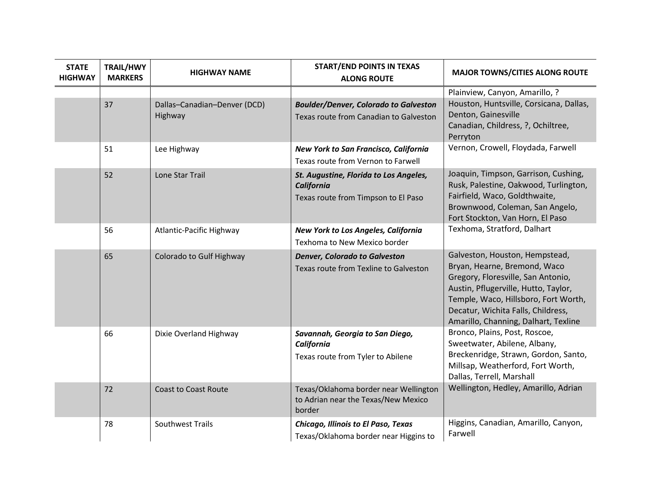| <b>STATE</b><br><b>HIGHWAY</b> | <b>TRAIL/HWY</b><br><b>MARKERS</b> | <b>HIGHWAY NAME</b>                     | <b>START/END POINTS IN TEXAS</b><br><b>ALONG ROUTE</b>                                      | <b>MAJOR TOWNS/CITIES ALONG ROUTE</b>                                                                                                                                                                                                                              |
|--------------------------------|------------------------------------|-----------------------------------------|---------------------------------------------------------------------------------------------|--------------------------------------------------------------------------------------------------------------------------------------------------------------------------------------------------------------------------------------------------------------------|
|                                |                                    |                                         |                                                                                             | Plainview, Canyon, Amarillo, ?                                                                                                                                                                                                                                     |
|                                | 37                                 | Dallas-Canadian-Denver (DCD)<br>Highway | <b>Boulder/Denver, Colorado to Galveston</b><br>Texas route from Canadian to Galveston      | Houston, Huntsville, Corsicana, Dallas,<br>Denton, Gainesville<br>Canadian, Childress, ?, Ochiltree,<br>Perryton                                                                                                                                                   |
|                                | 51                                 | Lee Highway                             | New York to San Francisco, California<br>Texas route from Vernon to Farwell                 | Vernon, Crowell, Floydada, Farwell                                                                                                                                                                                                                                 |
|                                | 52                                 | Lone Star Trail                         | St. Augustine, Florida to Los Angeles,<br>California<br>Texas route from Timpson to El Paso | Joaquin, Timpson, Garrison, Cushing,<br>Rusk, Palestine, Oakwood, Turlington,<br>Fairfield, Waco, Goldthwaite,<br>Brownwood, Coleman, San Angelo,<br>Fort Stockton, Van Horn, El Paso                                                                              |
|                                | 56                                 | Atlantic-Pacific Highway                | New York to Los Angeles, California<br>Texhoma to New Mexico border                         | Texhoma, Stratford, Dalhart                                                                                                                                                                                                                                        |
|                                | 65                                 | Colorado to Gulf Highway                | <b>Denver, Colorado to Galveston</b><br>Texas route from Texline to Galveston               | Galveston, Houston, Hempstead,<br>Bryan, Hearne, Bremond, Waco<br>Gregory, Floresville, San Antonio,<br>Austin, Pflugerville, Hutto, Taylor,<br>Temple, Waco, Hillsboro, Fort Worth,<br>Decatur, Wichita Falls, Childress,<br>Amarillo, Channing, Dalhart, Texline |
|                                | 66                                 | Dixie Overland Highway                  | Savannah, Georgia to San Diego,<br>California<br>Texas route from Tyler to Abilene          | Bronco, Plains, Post, Roscoe,<br>Sweetwater, Abilene, Albany,<br>Breckenridge, Strawn, Gordon, Santo,<br>Millsap, Weatherford, Fort Worth,<br>Dallas, Terrell, Marshall                                                                                            |
|                                | 72                                 | <b>Coast to Coast Route</b>             | Texas/Oklahoma border near Wellington<br>to Adrian near the Texas/New Mexico<br>border      | Wellington, Hedley, Amarillo, Adrian                                                                                                                                                                                                                               |
|                                | 78                                 | Southwest Trails                        | Chicago, Illinois to El Paso, Texas<br>Texas/Oklahoma border near Higgins to                | Higgins, Canadian, Amarillo, Canyon,<br>Farwell                                                                                                                                                                                                                    |